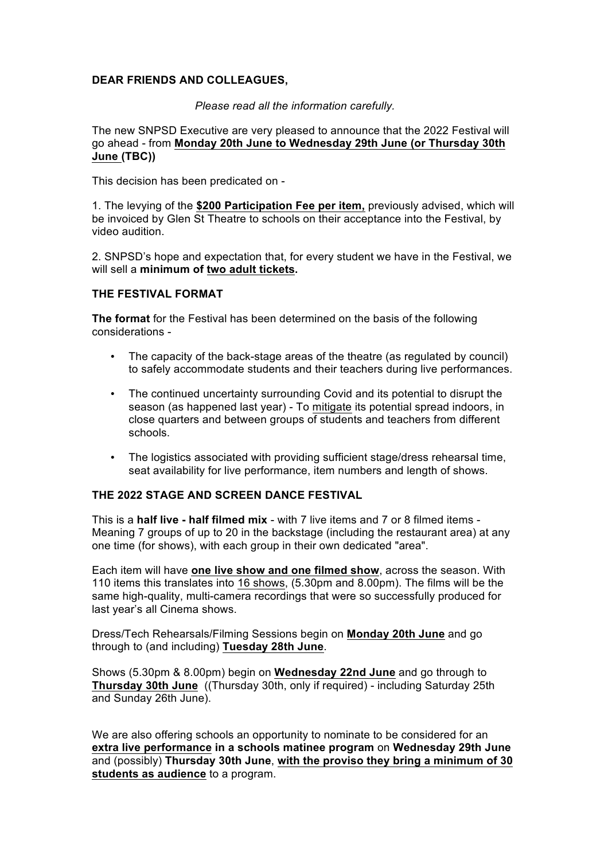## **DEAR FRIENDS AND COLLEAGUES,**

*Please read all the information carefully.*

The new SNPSD Executive are very pleased to announce that the 2022 Festival will go ahead - from **Monday 20th June to Wednesday 29th June (or Thursday 30th June (TBC))**

This decision has been predicated on -

1. The levying of the **\$200 Participation Fee per item,** previously advised, which will be invoiced by Glen St Theatre to schools on their acceptance into the Festival, by video audition.

2. SNPSD's hope and expectation that, for every student we have in the Festival, we will sell a **minimum of two adult tickets.**

## **THE FESTIVAL FORMAT**

**The format** for the Festival has been determined on the basis of the following considerations -

- The capacity of the back-stage areas of the theatre (as regulated by council) to safely accommodate students and their teachers during live performances.
- The continued uncertainty surrounding Covid and its potential to disrupt the season (as happened last year) - To mitigate its potential spread indoors, in close quarters and between groups of students and teachers from different schools.
- The logistics associated with providing sufficient stage/dress rehearsal time, seat availability for live performance, item numbers and length of shows.

#### **THE 2022 STAGE AND SCREEN DANCE FESTIVAL**

This is a **half live - half filmed mix** - with 7 live items and 7 or 8 filmed items - Meaning 7 groups of up to 20 in the backstage (including the restaurant area) at any one time (for shows), with each group in their own dedicated "area".

Each item will have **one live show and one filmed show**, across the season. With 110 items this translates into 16 shows, (5.30pm and 8.00pm). The films will be the same high-quality, multi-camera recordings that were so successfully produced for last year's all Cinema shows.

Dress/Tech Rehearsals/Filming Sessions begin on **Monday 20th June** and go through to (and including) **Tuesday 28th June**.

Shows (5.30pm & 8.00pm) begin on **Wednesday 22nd June** and go through to **Thursday 30th June** ((Thursday 30th, only if required) - including Saturday 25th and Sunday 26th June).

We are also offering schools an opportunity to nominate to be considered for an **extra live performance in a schools matinee program** on **Wednesday 29th June**  and (possibly) **Thursday 30th June**, **with the proviso they bring a minimum of 30 students as audience** to a program.